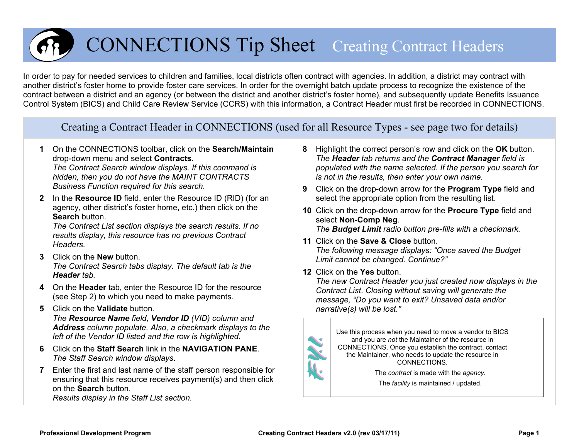

# CONNECTIONS Ti p Sheet Creating Contract Headers

In order to pay for needed services to children and families, local districts often contract with agencies. In addition, a district may contract with another district's foster home to provide foster care services. In order for the overnight batch update process to recognize the existence of the contract between a district and an agency (or between the district and another district's foster home), and subsequently update Benefits Issuance Control System (BICS) and Child Care Review Service (CCRS) with this information, a Contract Header must first be recorded in CONNECTIONS.

Creating a Contract Header in CONNECTIONS (used for all Resource Types - see page two for details)

**1** On the CONNECTIONS toolbar, click on the **Search/Maintain**  drop-down menu and select **Contracts**.

*The Contract Search window displays. If this command is hidden, then you do not have the MAINT CONTRACTS Business Function required for this search.*

**2** In the **Resource ID** field, enter the Resource ID (RID) (for an agency, other district's foster home, etc.) then click on the **Search** button.

*The Contract List section displays the search results. If no results display, this resource has no previous Contract Headers.*

- **3** Click on the **New** button. *The Contract Search tabs display. The default tab is the Header tab.*
- **4** On the **Header** tab, enter the Resource ID for the resource (see Step 2) to which you need to make payments.
- **5** Click on the **Validate** button. *The Resource Name field, Vendor ID (VID) column and Address column populate. Also, a checkmark displays to the left of the Vendor ID listed and the row is highlighted.*
- **6** Click on the **Staff Search** link in the **NAVIGATION PANE**. *The Staff Search window displays*.
- **7** Enter the first and last name of the staff person responsible for ensuring that this resource receives payment(s) and then click on the **Search** button.

*Results display in the Staff List section.*

- **8** Highlight the correct person's row and click on the **OK** button. *The Header tab returns and the Contract Manager field is populated with the name selected. If the person you search for is not in the results, then enter your own name.*
- **9** Click on the drop-down arrow for the **Program Type** field and select the appropriate option from the resulting list.
- **10** Click on the drop-down arrow for the **Procure Type** field and select **Non-Comp Neg**. *The Budget Limit radio button pre-fills with a checkmark.*
- **11** Click on the **Save & Close** button. *The following message displays: "Once saved the Budget Limit cannot be changed. Continue?"*
- **12** Click on the **Yes** button.

*The new Contract Header you just created now displays in the Contract List*. *Closing without saving will generate the message, "Do you want to exit? Unsaved data and/or narrative(s) will be lost."*



Use this process when you need to move a vendor to BICS and you are *not* the Maintainer of the resource in CONNECTIONS. Once you establish the contract, contact the Maintainer, who needs to update the resource in CONNECTIONS.

> The *contract* is made with the *agency.*  The *facility* is maintained / updated.